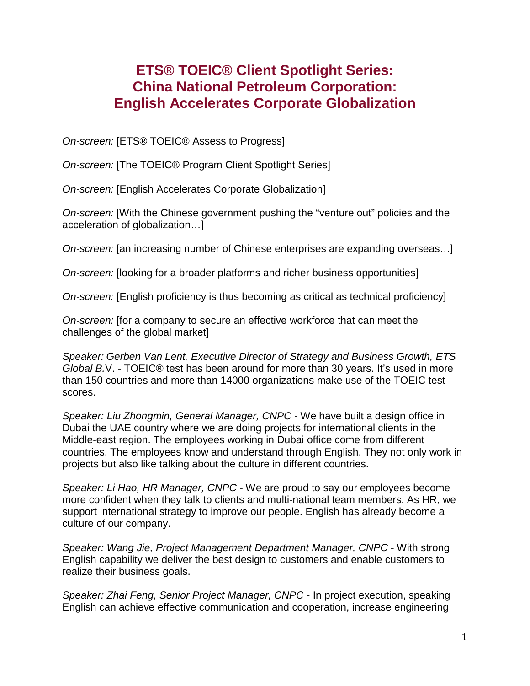## **ETS® TOEIC® Client Spotlight Series: China National Petroleum Corporation: English Accelerates Corporate Globalization**

*On-screen:* [ETS® TOEIC® Assess to Progress]

*On-screen:* [The TOEIC® Program Client Spotlight Series]

*On-screen:* [English Accelerates Corporate Globalization]

*On-screen:* [With the Chinese government pushing the "venture out" policies and the acceleration of globalization…]

*On-screen:* [an increasing number of Chinese enterprises are expanding overseas…]

*On-screen:* [looking for a broader platforms and richer business opportunities]

*On-screen:* [English proficiency is thus becoming as critical as technical proficiency]

*On-screen:* [for a company to secure an effective workforce that can meet the challenges of the global market]

*Speaker: Gerben Van Lent, Executive Director of Strategy and Business Growth, ETS Global B.*V. - TOEIC® test has been around for more than 30 years. It's used in more than 150 countries and more than 14000 organizations make use of the TOEIC test scores.

*Speaker: Liu Zhongmin, General Manager, CNPC -* We have built a design office in Dubai the UAE country where we are doing projects for international clients in the Middle-east region. The employees working in Dubai office come from different countries. The employees know and understand through English. They not only work in projects but also like talking about the culture in different countries.

*Speaker: Li Hao, HR Manager, CNPC* - We are proud to say our employees become more confident when they talk to clients and multi-national team members. As HR, we support international strategy to improve our people. English has already become a culture of our company.

*Speaker: Wang Jie, Project Management Department Manager, CNPC* - With strong English capability we deliver the best design to customers and enable customers to realize their business goals.

*Speaker: Zhai Feng, Senior Project Manager, CNPC* - In project execution, speaking English can achieve effective communication and cooperation, increase engineering